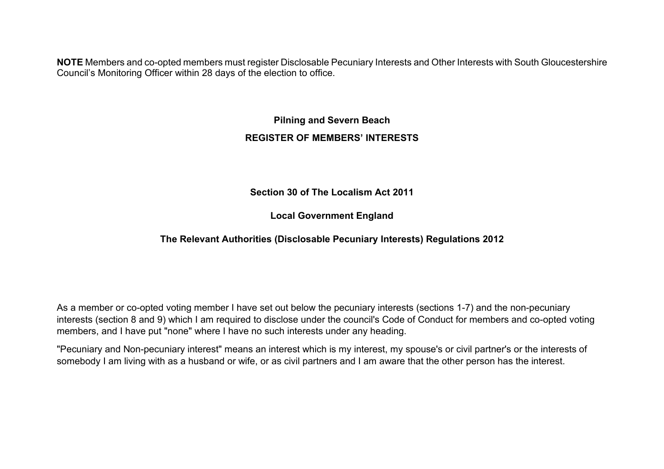**NOTE** Members and co-opted members must register Disclosable Pecuniary Interests and Other Interests with South Gloucestershire Council's Monitoring Officer within 28 days of the election to office.

## **Pilning and Severn Beach REGISTER OF MEMBERS' INTERESTS**

**Section 30 of The Localism Act 2011**

**Local Government England**

## **The Relevant Authorities (Disclosable Pecuniary Interests) Regulations 2012**

As a member or co-opted voting member I have set out below the pecuniary interests (sections 1-7) and the non-pecuniary interests (section 8 and 9) which I am required to disclose under the council's Code of Conduct for members and co-opted voting members, and I have put "none" where I have no such interests under any heading.

"Pecuniary and Non-pecuniary interest" means an interest which is my interest, my spouse's or civil partner's or the interests of somebody I am living with as a husband or wife, or as civil partners and I am aware that the other person has the interest.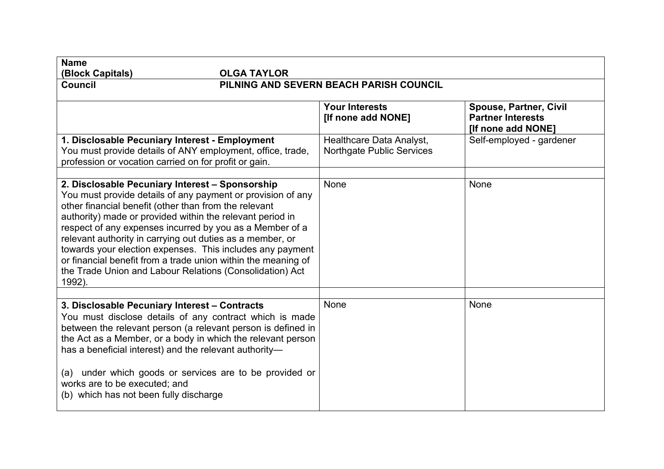| <b>Name</b><br>(Block Capitals)<br><b>OLGA TAYLOR</b>                                                                                                                                                                                                                                                                                                                                                                                                                                                                                                             |                                                              |                                                                                 |  |  |
|-------------------------------------------------------------------------------------------------------------------------------------------------------------------------------------------------------------------------------------------------------------------------------------------------------------------------------------------------------------------------------------------------------------------------------------------------------------------------------------------------------------------------------------------------------------------|--------------------------------------------------------------|---------------------------------------------------------------------------------|--|--|
| PILNING AND SEVERN BEACH PARISH COUNCIL<br><b>Council</b>                                                                                                                                                                                                                                                                                                                                                                                                                                                                                                         |                                                              |                                                                                 |  |  |
|                                                                                                                                                                                                                                                                                                                                                                                                                                                                                                                                                                   | <b>Your Interests</b><br>[If none add NONE]                  | <b>Spouse, Partner, Civil</b><br><b>Partner Interests</b><br>[If none add NONE] |  |  |
| 1. Disclosable Pecuniary Interest - Employment<br>You must provide details of ANY employment, office, trade,<br>profession or vocation carried on for profit or gain.                                                                                                                                                                                                                                                                                                                                                                                             | Healthcare Data Analyst,<br><b>Northgate Public Services</b> | Self-employed - gardener                                                        |  |  |
| 2. Disclosable Pecuniary Interest - Sponsorship<br>You must provide details of any payment or provision of any<br>other financial benefit (other than from the relevant<br>authority) made or provided within the relevant period in<br>respect of any expenses incurred by you as a Member of a<br>relevant authority in carrying out duties as a member, or<br>towards your election expenses. This includes any payment<br>or financial benefit from a trade union within the meaning of<br>the Trade Union and Labour Relations (Consolidation) Act<br>1992). | None                                                         | None                                                                            |  |  |
| 3. Disclosable Pecuniary Interest - Contracts<br>You must disclose details of any contract which is made<br>between the relevant person (a relevant person is defined in<br>the Act as a Member, or a body in which the relevant person<br>has a beneficial interest) and the relevant authority-<br>(a) under which goods or services are to be provided or<br>works are to be executed; and<br>(b) which has not been fully discharge                                                                                                                           | None                                                         | None                                                                            |  |  |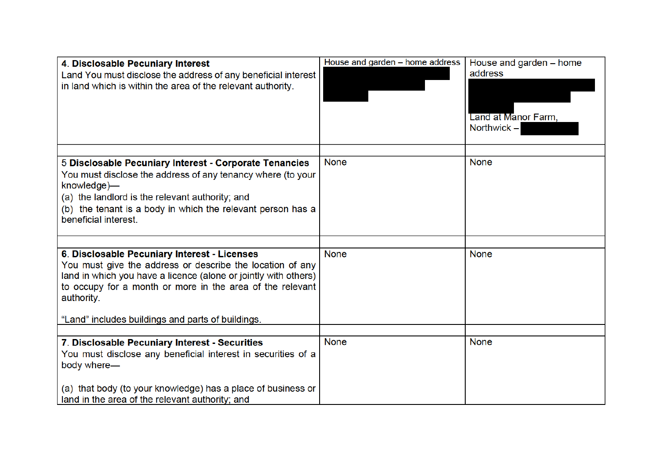| 4. Disclosable Pecuniary Interest<br>Land You must disclose the address of any beneficial interest<br>in land which is within the area of the relevant authority.                                                                                                                                            | House and garden - home address | House and garden - home<br>address<br>Land at Manor Farm,<br>Northwick $-$ |
|--------------------------------------------------------------------------------------------------------------------------------------------------------------------------------------------------------------------------------------------------------------------------------------------------------------|---------------------------------|----------------------------------------------------------------------------|
| 5 Disclosable Pecuniary Interest - Corporate Tenancies<br>You must disclose the address of any tenancy where (to your<br>knowledge)—<br>(a) the landlord is the relevant authority; and<br>(b) the tenant is a body in which the relevant person has a<br>beneficial interest.                               | <b>None</b>                     | <b>None</b>                                                                |
| 6. Disclosable Pecuniary Interest - Licenses<br>You must give the address or describe the location of any<br>land in which you have a licence (alone or jointly with others)<br>to occupy for a month or more in the area of the relevant<br>authority.<br>"Land" includes buildings and parts of buildings. | <b>None</b>                     | <b>None</b>                                                                |
| 7. Disclosable Pecuniary Interest - Securities<br>You must disclose any beneficial interest in securities of a<br>body where-<br>(a) that body (to your knowledge) has a place of business or<br>land in the area of the relevant authority; and                                                             | <b>None</b>                     | <b>None</b>                                                                |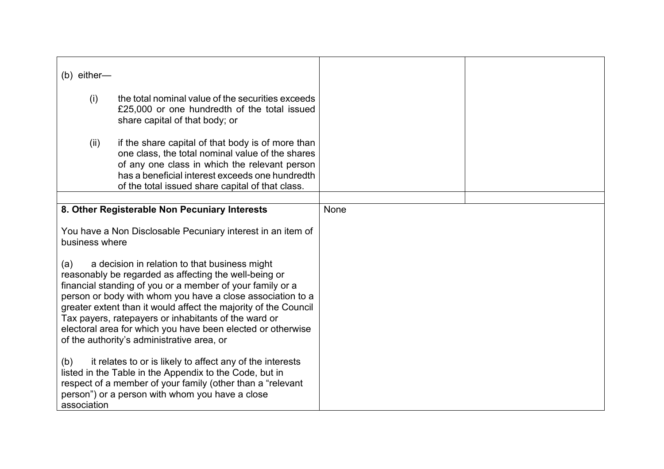| $(b)$ either-                                                                                                                                                                                                                                                                                                                                                                                                                                                                    |                                                                                                                                                                                                                                                               |      |  |
|----------------------------------------------------------------------------------------------------------------------------------------------------------------------------------------------------------------------------------------------------------------------------------------------------------------------------------------------------------------------------------------------------------------------------------------------------------------------------------|---------------------------------------------------------------------------------------------------------------------------------------------------------------------------------------------------------------------------------------------------------------|------|--|
| (i)                                                                                                                                                                                                                                                                                                                                                                                                                                                                              | the total nominal value of the securities exceeds<br>£25,000 or one hundredth of the total issued<br>share capital of that body; or                                                                                                                           |      |  |
| (ii)                                                                                                                                                                                                                                                                                                                                                                                                                                                                             | if the share capital of that body is of more than<br>one class, the total nominal value of the shares<br>of any one class in which the relevant person<br>has a beneficial interest exceeds one hundredth<br>of the total issued share capital of that class. |      |  |
|                                                                                                                                                                                                                                                                                                                                                                                                                                                                                  | 8. Other Registerable Non Pecuniary Interests                                                                                                                                                                                                                 | None |  |
|                                                                                                                                                                                                                                                                                                                                                                                                                                                                                  |                                                                                                                                                                                                                                                               |      |  |
| business where                                                                                                                                                                                                                                                                                                                                                                                                                                                                   | You have a Non Disclosable Pecuniary interest in an item of                                                                                                                                                                                                   |      |  |
| a decision in relation to that business might<br>(a)<br>reasonably be regarded as affecting the well-being or<br>financial standing of you or a member of your family or a<br>person or body with whom you have a close association to a<br>greater extent than it would affect the majority of the Council<br>Tax payers, ratepayers or inhabitants of the ward or<br>electoral area for which you have been elected or otherwise<br>of the authority's administrative area, or |                                                                                                                                                                                                                                                               |      |  |
| (b)<br>association                                                                                                                                                                                                                                                                                                                                                                                                                                                               | it relates to or is likely to affect any of the interests<br>listed in the Table in the Appendix to the Code, but in<br>respect of a member of your family (other than a "relevant<br>person") or a person with whom you have a close                         |      |  |